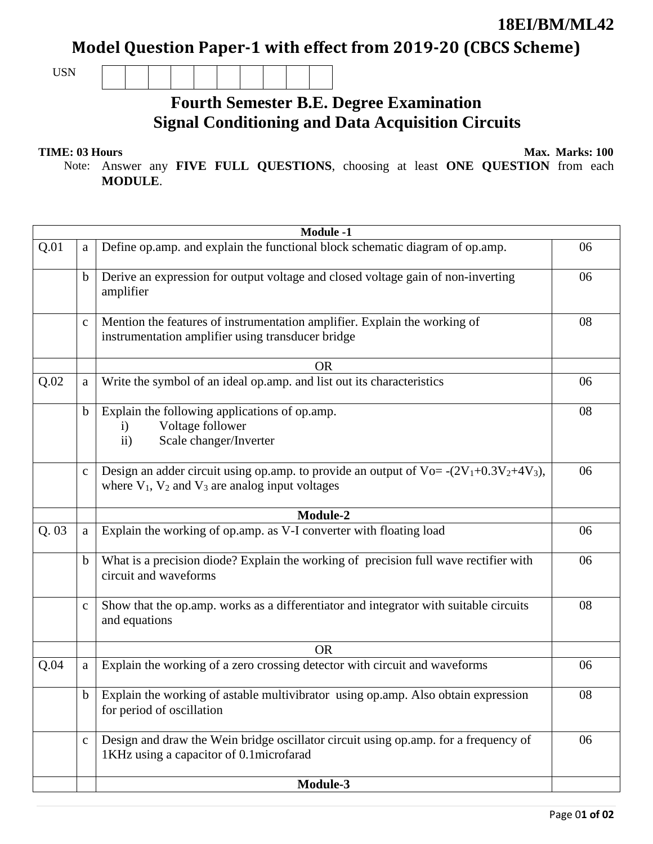### **18EI/BM/ML42**

## Model Question Paper-1 with effect from 2019-20 (CBCS Scheme)

USN

## **Fourth Semester B.E. Degree Examination Signal Conditioning and Data Acquisition Circuits**

**TIME: 03 Hours** Max. Marks: 100

Note: Answer any **FIVE FULL QUESTIONS**, choosing at least **ONE QUESTION** from each **MODULE**.

|      | <b>Module -1</b> |                                                                                                                                                           |    |  |  |
|------|------------------|-----------------------------------------------------------------------------------------------------------------------------------------------------------|----|--|--|
| Q.01 | a                | Define op.amp. and explain the functional block schematic diagram of op.amp.                                                                              | 06 |  |  |
|      | b                | Derive an expression for output voltage and closed voltage gain of non-inverting<br>amplifier                                                             | 06 |  |  |
|      | $\mathbf{C}$     | Mention the features of instrumentation amplifier. Explain the working of<br>instrumentation amplifier using transducer bridge                            | 08 |  |  |
|      |                  | <b>OR</b>                                                                                                                                                 |    |  |  |
| Q.02 | a                | Write the symbol of an ideal op.amp. and list out its characteristics                                                                                     | 06 |  |  |
|      | $\mathbf b$      | Explain the following applications of op.amp.<br>Voltage follower<br>$\mathbf{i}$<br>Scale changer/Inverter<br>ii)                                        | 08 |  |  |
|      | $\mathbf{C}$     | Design an adder circuit using op.amp. to provide an output of $Vo = -(2V_1 + 0.3V_2 + 4V_3)$ ,<br>where $V_1$ , $V_2$ and $V_3$ are analog input voltages | 06 |  |  |
|      |                  | Module-2                                                                                                                                                  |    |  |  |
| Q.03 | a                | Explain the working of op.amp. as V-I converter with floating load                                                                                        | 06 |  |  |
|      | b                | What is a precision diode? Explain the working of precision full wave rectifier with<br>circuit and waveforms                                             | 06 |  |  |
|      | $\mathbf c$      | Show that the op.amp. works as a differentiator and integrator with suitable circuits<br>and equations                                                    | 08 |  |  |
|      |                  | <b>OR</b>                                                                                                                                                 |    |  |  |
| Q.04 | a                | Explain the working of a zero crossing detector with circuit and waveforms                                                                                | 06 |  |  |
|      | b                | Explain the working of astable multivibrator using op.amp. Also obtain expression<br>for period of oscillation                                            | 08 |  |  |
|      | $\mathbf c$      | Design and draw the Wein bridge oscillator circuit using op.amp. for a frequency of<br>1KHz using a capacitor of 0.1 microfarad                           | 06 |  |  |
|      |                  | Module-3                                                                                                                                                  |    |  |  |
|      |                  |                                                                                                                                                           |    |  |  |